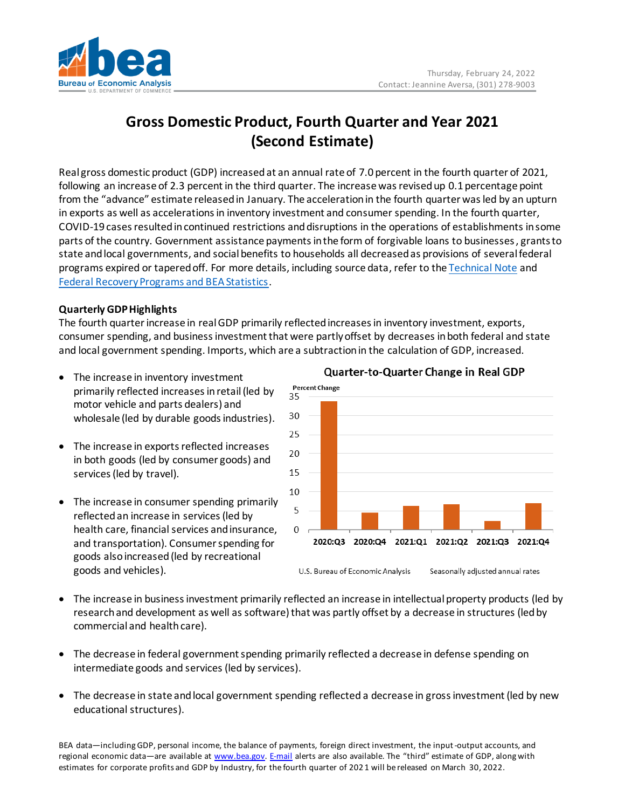

# **Gross Domestic Product, Fourth Quarter and Year 2021 (Second Estimate)**

Real gross domestic product (GDP) increasedat an annual rate of 7.0 percent in the fourth quarter of 2021, following an increase of 2.3 percent in the third quarter. The increase was revised up 0.1 percentage point from the "advance" estimate released in January. The acceleration in the fourth quarter was led by an upturn in exports as well as accelerations in inventory investment and consumer spending. In the fourth quarter, COVID-19 cases resulted in continued restrictions and disruptions in the operations of establishments in some parts of the country. Government assistance payments in the form of forgivable loans to businesses, grants to state and local governments, and social benefits to households all decreased as provisions of several federal programs expired or tapered off. For more details, including source data, refer to th[e Technical Note](https://www.bea.gov/sites/default/files/2022-02/tech4q21_2nd.pdf) and [Federal Recovery Programs and BEA Statistics.](http://www.bea.gov/recovery)

### **Quarterly GDP Highlights**

The fourth quarterincrease in real GDP primarily reflected increases in inventory investment, exports, consumer spending, and businessinvestment that were partly offset by decreases inboth federal and state and local government spending. Imports, which are a subtraction in the calculation of GDP, increased.

- The increase in inventory investment primarily reflected increases in retail(led by motor vehicle and parts dealers) and wholesale (led by durable goods industries).
- The increase in exports reflected increases in both goods (led by consumer goods) and services (led by travel).
- The increase in consumer spending primarily reflectedan increase in services(led by health care, financial services and insurance, and transportation). Consumer spending for goods also increased (led by recreational goods and vehicles).



## Quarter-to-Quarter Change in Real GDP

- The increase in business investment primarily reflected an increase in intellectual property products (led by research and development as well as software) that was partly offset by a decrease in structures (led by commercial and health care).
- The decrease in federal government spending primarily reflected a decrease in defense spending on intermediate goods and services (led by services).
- The decrease in state and local government spending reflected a decrease in gross investment (led by new educational structures).

BEA data—including GDP, personal income, the balance of payments, foreign direct investment, the input-output accounts, and regional economic data—are available a[t www.bea.gov.](http://www.bea.gov/) [E-mail](https://www.bea.gov/_subscribe/) alerts are also available. The "third" estimate of GDP, along with estimates for corporate profits and GDP by Industry, for the fourth quarter of 202 1 will be released on March 30, 2022.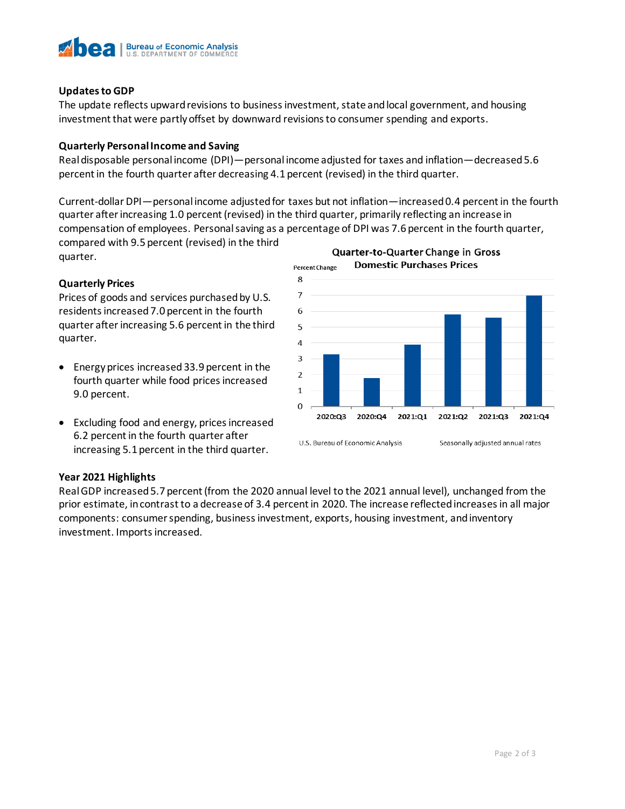

#### **Updates to GDP**

The update reflects upward revisions to business investment, state and local government, and housing investment that were partly offset by downward revisions to consumer spending and exports.

#### **Quarterly Personal Income and Saving**

Real disposable personal income (DPI)—personal income adjusted for taxes and inflation—decreased5.6 percent in the fourth quarter after decreasing 4.1 percent (revised) in the third quarter.

Current-dollar DPI—personal income adjusted for taxes but not inflation—increased 0.4 percent in the fourth quarter after increasing 1.0 percent (revised) in the third quarter, primarily reflecting an increase in compensation of employees. Personal saving as a percentage of DPI was 7.6 percent in the fourth quarter,

compared with 9.5 percent (revised) in the third quarter.

#### **Quarterly Prices**

Prices of goods and services purchased by U.S. residents increased 7.0 percent in the fourth quarter after increasing 5.6 percent in the third quarter.

- Energy prices increased 33.9 percent in the fourth quarter while food prices increased 9.0 percent.
- Excluding food and energy, prices increased 6.2 percent in the fourth quarter after increasing 5.1 percent in the third quarter.



# **Year 2021 Highlights**

Real GDP increased 5.7 percent (from the 2020 annual level to the 2021 annual level), unchanged from the prior estimate, in contrast to a decrease of 3.4 percent in 2020. The increase reflected increasesin all major components: consumer spending, business investment, exports, housing investment, and inventory investment. Imports increased.